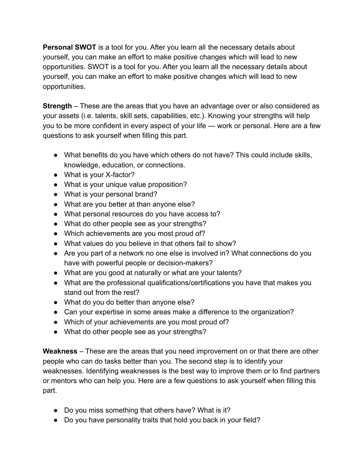**Personal SWOT** is a tool for you. After you learn all the necessary details about yourself, you can make an effort to make positive changes which will lead to new opportunities. SWOT is a tool for you. After you learn all the necessary details about yourself, you can make an effort to make positive changes which will lead to new opportunities.

**Strength** – These are the areas that you have an advantage over or also considered as your assets (i.e. talents, skill sets, capabilities, etc.). Knowing your strengths will help you to be more confident in every aspect of your life — work or personal. Here are a few questions to ask yourself when filling this part.

- What benefits do you have which others do not have? This could include skills, knowledge, education, or connections.
- What is your X-factor?
- What is your unique value proposition?
- What is your personal brand?
- What are you better at than anyone else?
- What personal resources do you have access to?
- What do other people see as your strengths?
- Which achievements are you most proud of?
- What values do you believe in that others fail to show?
- Are you part of a network no one else is involved in? What connections do you have with powerful people or decision-makers?
- What are you good at naturally or what are your talents?
- What are the professional qualifications/certifications you have that makes you stand out from the rest?
- What do you do better than anyone else?
- Can your expertise in some areas make a difference to the organization?
- Which of your achievements are you most proud of?
- What do other people see as your strengths?

**Weakness** – These are the areas that you need improvement on or that there are other people who can do tasks better than you. The second step is to identify your weaknesses. Identifying weaknesses is the best way to improve them or to find partners or mentors who can help you. Here are a few questions to ask yourself when filling this part.

- Do you miss something that others have? What is it?
- Do you have personality traits that hold you back in your field?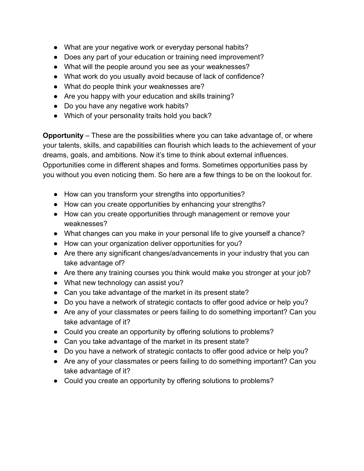- What are your negative work or everyday personal habits?
- Does any part of your education or training need improvement?
- What will the people around you see as your weaknesses?
- What work do you usually avoid because of lack of confidence?
- What do people think your weaknesses are?
- Are you happy with your education and skills training?
- Do you have any negative work habits?
- Which of your personality traits hold you back?

**Opportunity** – These are the possibilities where you can take advantage of, or where your talents, skills, and capabilities can flourish which leads to the achievement of your dreams, goals, and ambitions. Now it's time to think about external influences. Opportunities come in different shapes and forms. Sometimes opportunities pass by you without you even noticing them. So here are a few things to be on the lookout for.

- How can you transform your strengths into opportunities?
- How can you create opportunities by enhancing your strengths?
- How can you create opportunities through management or remove your weaknesses?
- What changes can you make in your personal life to give yourself a chance?
- How can your organization deliver opportunities for you?
- Are there any significant changes/advancements in your industry that you can take advantage of?
- Are there any training courses you think would make you stronger at your job?
- What new technology can assist you?
- Can you take advantage of the market in its present state?
- Do you have a network of strategic contacts to offer good advice or help you?
- Are any of your classmates or peers failing to do something important? Can you take advantage of it?
- Could you create an opportunity by offering solutions to problems?
- Can you take advantage of the market in its present state?
- Do you have a network of strategic contacts to offer good advice or help you?
- Are any of your classmates or peers failing to do something important? Can you take advantage of it?
- Could you create an opportunity by offering solutions to problems?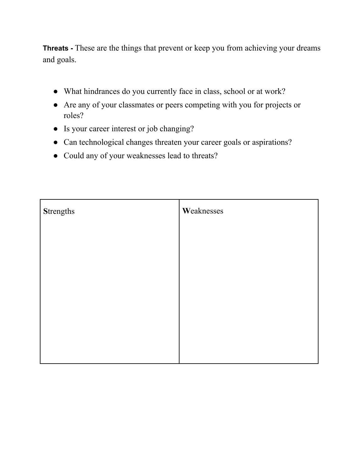**Threats -** These are the things that prevent or keep you from achieving your dreams and goals.

- What hindrances do you currently face in class, school or at work?
- Are any of your classmates or peers competing with you for projects or roles?
- Is your career interest or job changing?
- Can technological changes threaten your career goals or aspirations?
- Could any of your weaknesses lead to threats?

| <b>Strengths</b> | Weaknesses |
|------------------|------------|
|                  |            |
|                  |            |
|                  |            |
|                  |            |
|                  |            |
|                  |            |
|                  |            |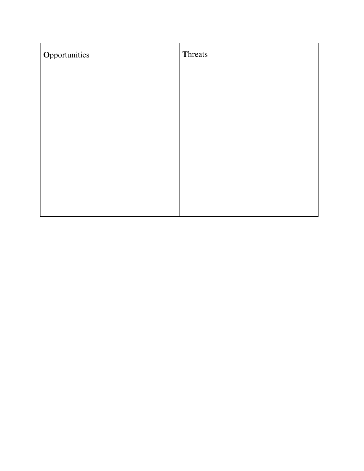| Opportunities | Threats |
|---------------|---------|
|               |         |
|               |         |
|               |         |
|               |         |
|               |         |
|               |         |
|               |         |